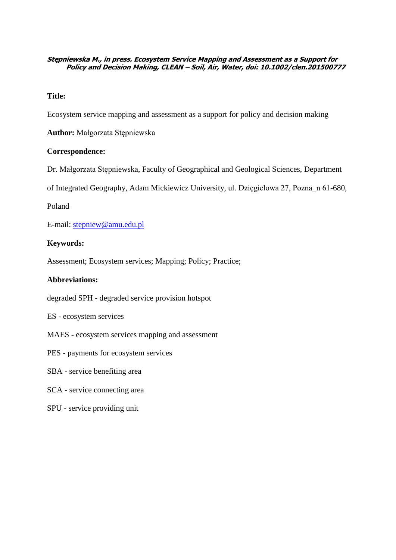## **Stępniewska M., in press. Ecosystem Service Mapping and Assessment as a Support for Policy and Decision Making, CLEAN – Soil, Air, Water, doi: 10.1002/clen.201500777**

## **Title:**

Ecosystem service mapping and assessment as a support for policy and decision making

**Author:** Małgorzata Stępniewska

## **Correspondence:**

Dr. Małgorzata Stępniewska, Faculty of Geographical and Geological Sciences, Department

of Integrated Geography, Adam Mickiewicz University, ul. Dzięgielowa 27, Pozna\_n 61-680,

Poland

E-mail: [stepniew@amu.edu.pl](mailto:stepniew@amu.edu.pl)

## **Keywords:**

Assessment; Ecosystem services; Mapping; Policy; Practice;

## **Abbreviations:**

degraded SPH - degraded service provision hotspot

ES - ecosystem services

- MAES ecosystem services mapping and assessment
- PES payments for ecosystem services
- SBA service benefiting area
- SCA service connecting area
- SPU service providing unit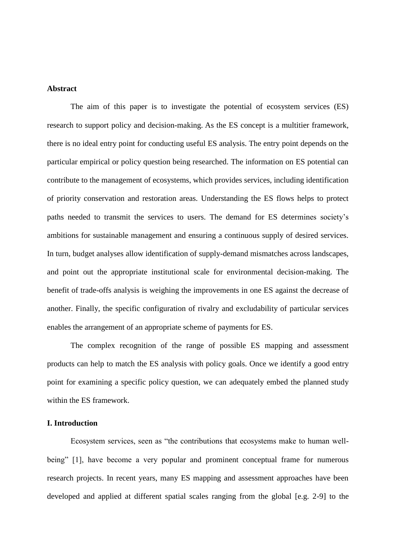### **Abstract**

The aim of this paper is to investigate the potential of ecosystem services (ES) research to support policy and decision-making. As the ES concept is a multitier framework, there is no ideal entry point for conducting useful ES analysis. The entry point depends on the particular empirical or policy question being researched. The information on ES potential can contribute to the management of ecosystems, which provides services, including identification of priority conservation and restoration areas. Understanding the ES flows helps to protect paths needed to transmit the services to users. The demand for ES determines society's ambitions for sustainable management and ensuring a continuous supply of desired services. In turn, budget analyses allow identification of supply-demand mismatches across landscapes, and point out the appropriate institutional scale for environmental decision-making. The benefit of trade-offs analysis is weighing the improvements in one ES against the decrease of another. Finally, the specific configuration of rivalry and excludability of particular services enables the arrangement of an appropriate scheme of payments for ES.

The complex recognition of the range of possible ES mapping and assessment products can help to match the ES analysis with policy goals. Once we identify a good entry point for examining a specific policy question, we can adequately embed the planned study within the ES framework.

#### **I. Introduction**

Ecosystem services, seen as "the contributions that ecosystems make to human wellbeing" [1], have become a very popular and prominent conceptual frame for numerous research projects. In recent years, many ES mapping and assessment approaches have been developed and applied at different spatial scales ranging from the global [e.g. 2-9] to the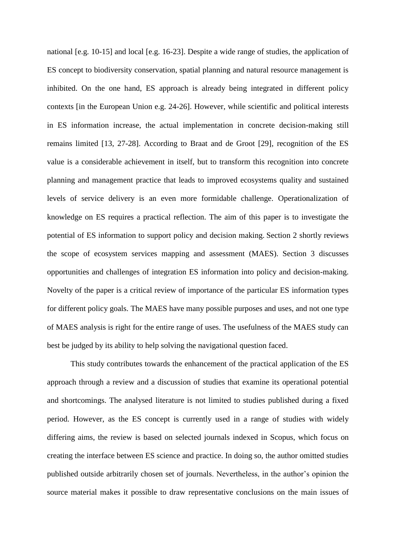national [e.g. 10-15] and local [e.g. 16-23]. Despite a wide range of studies, the application of ES concept to biodiversity conservation, spatial planning and natural resource management is inhibited. On the one hand, ES approach is already being integrated in different policy contexts [in the European Union e.g. 24-26]. However, while scientific and political interests in ES information increase, the actual implementation in concrete decision-making still remains limited [13, 27-28]. According to Braat and de Groot [29], recognition of the ES value is a considerable achievement in itself, but to transform this recognition into concrete planning and management practice that leads to improved ecosystems quality and sustained levels of service delivery is an even more formidable challenge. Operationalization of knowledge on ES requires a practical reflection. The aim of this paper is to investigate the potential of ES information to support policy and decision making. Section 2 shortly reviews the scope of ecosystem services mapping and assessment (MAES). Section 3 discusses opportunities and challenges of integration ES information into policy and decision-making. Novelty of the paper is a critical review of importance of the particular ES information types for different policy goals. The MAES have many possible purposes and uses, and not one type of MAES analysis is right for the entire range of uses. The usefulness of the MAES study can best be judged by its ability to help solving the navigational question faced.

This study contributes towards the enhancement of the practical application of the ES approach through a review and a discussion of studies that examine its operational potential and shortcomings. The analysed literature is not limited to studies published during a fixed period. However, as the ES concept is currently used in a range of studies with widely differing aims, the review is based on selected journals indexed in Scopus, which focus on creating the interface between ES science and practice. In doing so, the author omitted studies published outside arbitrarily chosen set of journals. Nevertheless, in the author's opinion the source material makes it possible to draw representative conclusions on the main issues of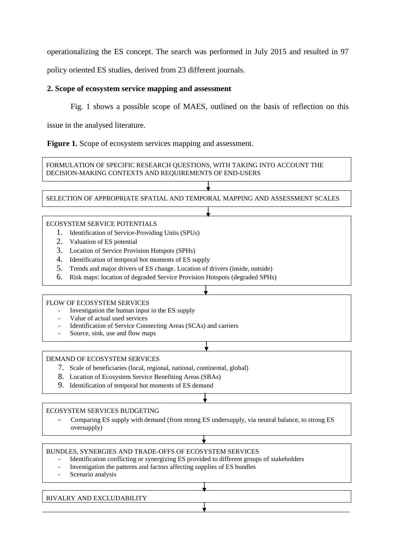operationalizing the ES concept. The search was performed in July 2015 and resulted in 97

policy oriented ES studies, derived from 23 different journals.

# **2. Scope of ecosystem service mapping and assessment**

Fig. 1 shows a possible scope of MAES, outlined on the basis of reflection on this

issue in the analysed literature.

Figure 1. Scope of ecosystem services mapping and assessment.



## RIVALRY AND EXCLUDABILITY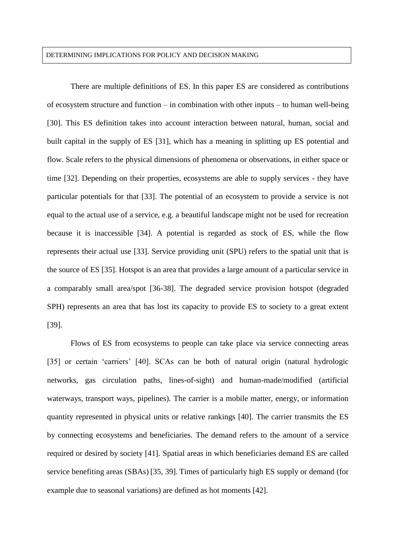### DETERMINING IMPLICATIONS FOR POLICY AND DECISION MAKING

There are multiple definitions of ES. In this paper ES are considered as contributions of ecosystem structure and function – in combination with other inputs – to human well-being [30]. This ES definition takes into account interaction between natural, human, social and built capital in the supply of ES [31], which has a meaning in splitting up ES potential and flow. Scale refers to the physical dimensions of phenomena or observations, in either space or time [32]. Depending on their properties, ecosystems are able to supply services - they have particular potentials for that [33]. The potential of an ecosystem to provide a service is not equal to the actual use of a service, e.g. a beautiful landscape might not be used for recreation because it is inaccessible [34]. A potential is regarded as stock of ES, while the flow represents their actual use [33]. Service providing unit (SPU) refers to the spatial unit that is the source of ES [35]. Hotspot is an area that provides a large amount of a particular service in a comparably small area/spot [36-38]. The degraded service provision hotspot (degraded SPH) represents an area that has lost its capacity to provide ES to society to a great extent [39].

Flows of ES from ecosystems to people can take place via service connecting areas [35] or certain 'carriers' [40]. SCAs can be both of natural origin (natural hydrologic networks, gas circulation paths, lines-of-sight) and human-made/modified (artificial waterways, transport ways, pipelines). The carrier is a mobile matter, energy, or information quantity represented in physical units or relative rankings [40]. The carrier transmits the ES by connecting ecosystems and beneficiaries. The demand refers to the amount of a service required or desired by society [41]. Spatial areas in which beneficiaries demand ES are called service benefiting areas (SBAs) [35, 39]. Times of particularly high ES supply or demand (for example due to seasonal variations) are defined as hot moments [42].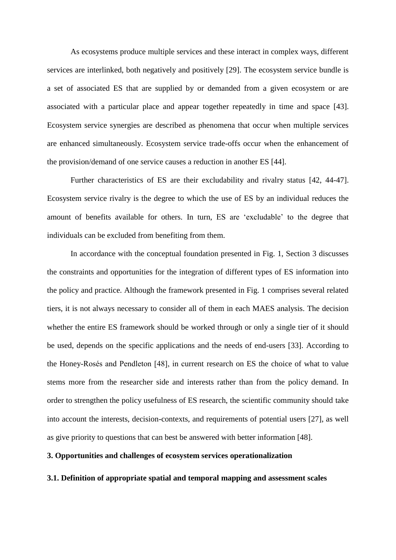As ecosystems produce multiple services and these interact in complex ways, different services are interlinked, both negatively and positively [29]. The ecosystem service bundle is a set of associated ES that are supplied by or demanded from a given ecosystem or are associated with a particular place and appear together repeatedly in time and space [43]. Ecosystem service synergies are described as phenomena that occur when multiple services are enhanced simultaneously. Ecosystem service trade-offs occur when the enhancement of the provision/demand of one service causes a reduction in another ES [44].

Further characteristics of ES are their excludability and rivalry status [42, 44-47]. Ecosystem service rivalry is the degree to which the use of ES by an individual reduces the amount of benefits available for others. In turn, ES are 'excludable' to the degree that individuals can be excluded from benefiting from them.

In accordance with the conceptual foundation presented in Fig. 1, Section 3 discusses the constraints and opportunities for the integration of different types of ES information into the policy and practice. Although the framework presented in Fig. 1 comprises several related tiers, it is not always necessary to consider all of them in each MAES analysis. The decision whether the entire ES framework should be worked through or only a single tier of it should be used, depends on the specific applications and the needs of end-users [33]. According to the Honey-Rosés and Pendleton [48], in current research on ES the choice of what to value stems more from the researcher side and interests rather than from the policy demand. In order to strengthen the policy usefulness of ES research, the scientific community should take into account the interests, decision-contexts, and requirements of potential users [27], as well as give priority to questions that can best be answered with better information [48].

# **3. Opportunities and challenges of ecosystem services operationalization**

### **3.1. Definition of appropriate spatial and temporal mapping and assessment scales**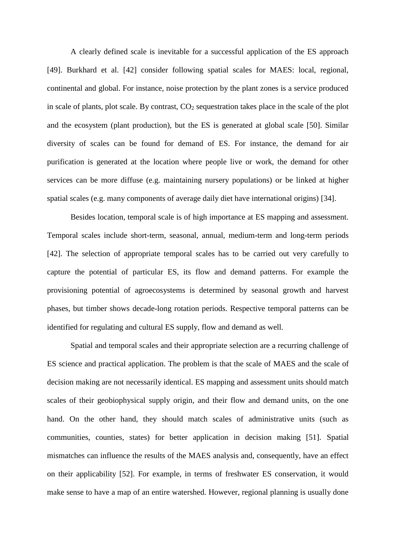A clearly defined scale is inevitable for a successful application of the ES approach [49]. Burkhard et al. [42] consider following spatial scales for MAES: local, regional, continental and global. For instance, noise protection by the plant zones is a service produced in scale of plants, plot scale. By contrast,  $CO<sub>2</sub>$  sequestration takes place in the scale of the plot and the ecosystem (plant production), but the ES is generated at global scale [50]. Similar diversity of scales can be found for demand of ES. For instance, the demand for air purification is generated at the location where people live or work, the demand for other services can be more diffuse (e.g. maintaining nursery populations) or be linked at higher spatial scales (e.g. many components of average daily diet have international origins) [34].

Besides location, temporal scale is of high importance at ES mapping and assessment. Temporal scales include short-term, seasonal, annual, medium-term and long-term periods [42]. The selection of appropriate temporal scales has to be carried out very carefully to capture the potential of particular ES, its flow and demand patterns. For example the provisioning potential of agroecosystems is determined by seasonal growth and harvest phases, but timber shows decade-long rotation periods. Respective temporal patterns can be identified for regulating and cultural ES supply, flow and demand as well.

Spatial and temporal scales and their appropriate selection are a recurring challenge of ES science and practical application. The problem is that the scale of MAES and the scale of decision making are not necessarily identical. ES mapping and assessment units should match scales of their geobiophysical supply origin, and their flow and demand units, on the one hand. On the other hand, they should match scales of administrative units (such as communities, counties, states) for better application in decision making [51]. Spatial mismatches can influence the results of the MAES analysis and, consequently, have an effect on their applicability [52]. For example, in terms of freshwater ES conservation, it would make sense to have a map of an entire watershed. However, regional planning is usually done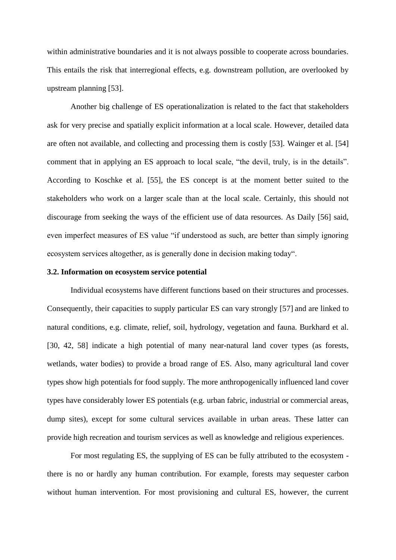within administrative boundaries and it is not always possible to cooperate across boundaries. This entails the risk that interregional effects, e.g. downstream pollution, are overlooked by upstream planning [53].

Another big challenge of ES operationalization is related to the fact that stakeholders ask for very precise and spatially explicit information at a local scale. However, detailed data are often not available, and collecting and processing them is costly [53]. Wainger et al. [54] comment that in applying an ES approach to local scale, "the devil, truly, is in the details". According to Koschke et al. [55], the ES concept is at the moment better suited to the stakeholders who work on a larger scale than at the local scale. Certainly, this should not discourage from seeking the ways of the efficient use of data resources. As Daily [56] said, even imperfect measures of ES value "if understood as such, are better than simply ignoring ecosystem services altogether, as is generally done in decision making today".

### **3.2. Information on ecosystem service potential**

Individual ecosystems have different functions based on their structures and processes. Consequently, their capacities to supply particular ES can vary strongly [57] and are linked to natural conditions, e.g. climate, relief, soil, hydrology, vegetation and fauna. Burkhard et al. [30, 42, 58] indicate a high potential of many near-natural land cover types (as forests, wetlands, water bodies) to provide a broad range of ES. Also, many agricultural land cover types show high potentials for food supply. The more anthropogenically influenced land cover types have considerably lower ES potentials (e.g. urban fabric, industrial or commercial areas, dump sites), except for some cultural services available in urban areas. These latter can provide high recreation and tourism services as well as knowledge and religious experiences.

For most regulating ES, the supplying of ES can be fully attributed to the ecosystem there is no or hardly any human contribution. For example, forests may sequester carbon without human intervention. For most provisioning and cultural ES, however, the current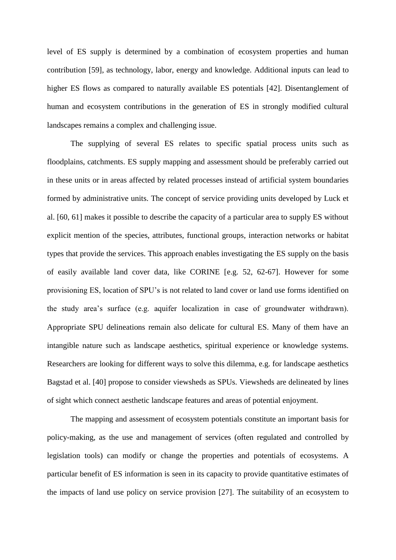level of ES supply is determined by a combination of ecosystem properties and human contribution [59], as technology, labor, energy and knowledge. Additional inputs can lead to higher ES flows as compared to naturally available ES potentials [42]. Disentanglement of human and ecosystem contributions in the generation of ES in strongly modified cultural landscapes remains a complex and challenging issue.

The supplying of several ES relates to specific spatial process units such as floodplains, catchments. ES supply mapping and assessment should be preferably carried out in these units or in areas affected by related processes instead of artificial system boundaries formed by administrative units. The concept of service providing units developed by Luck et al. [60, 61] makes it possible to describe the capacity of a particular area to supply ES without explicit mention of the species, attributes, functional groups, interaction networks or habitat types that provide the services. This approach enables investigating the ES supply on the basis of easily available land cover data, like CORINE [e.g. 52, 62-67]. However for some provisioning ES, location of SPU's is not related to land cover or land use forms identified on the study area's surface (e.g. aquifer localization in case of groundwater withdrawn). Appropriate SPU delineations remain also delicate for cultural ES. Many of them have an intangible nature such as landscape aesthetics, spiritual experience or knowledge systems. Researchers are looking for different ways to solve this dilemma, e.g. for landscape aesthetics Bagstad et al. [40] propose to consider viewsheds as SPUs. Viewsheds are delineated by lines of sight which connect aesthetic landscape features and areas of potential enjoyment.

The mapping and assessment of ecosystem potentials constitute an important basis for policy-making, as the use and management of services (often regulated and controlled by legislation tools) can modify or change the properties and potentials of ecosystems. A particular benefit of ES information is seen in its capacity to provide quantitative estimates of the impacts of land use policy on service provision [27]. The suitability of an ecosystem to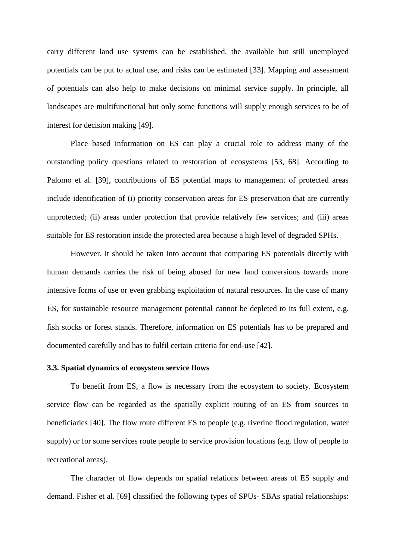carry different land use systems can be established, the available but still unemployed potentials can be put to actual use, and risks can be estimated [33]. Mapping and assessment of potentials can also help to make decisions on minimal service supply. In principle, all landscapes are multifunctional but only some functions will supply enough services to be of interest for decision making [49].

Place based information on ES can play a crucial role to address many of the outstanding policy questions related to restoration of ecosystems [53, 68]. According to Palomo et al. [39], contributions of ES potential maps to management of protected areas include identification of (i) priority conservation areas for ES preservation that are currently unprotected; (ii) areas under protection that provide relatively few services; and (iii) areas suitable for ES restoration inside the protected area because a high level of degraded SPHs.

However, it should be taken into account that comparing ES potentials directly with human demands carries the risk of being abused for new land conversions towards more intensive forms of use or even grabbing exploitation of natural resources. In the case of many ES, for sustainable resource management potential cannot be depleted to its full extent, e.g. fish stocks or forest stands. Therefore, information on ES potentials has to be prepared and documented carefully and has to fulfil certain criteria for end-use [42].

## **3.3. Spatial dynamics of ecosystem service flows**

To benefit from ES, a flow is necessary from the ecosystem to society. Ecosystem service flow can be regarded as the spatially explicit routing of an ES from sources to beneficiaries [40]. The flow route different ES to people (e.g. riverine flood regulation, water supply) or for some services route people to service provision locations (e.g. flow of people to recreational areas).

The character of flow depends on spatial relations between areas of ES supply and demand. Fisher et al. [69] classified the following types of SPUs- SBAs spatial relationships: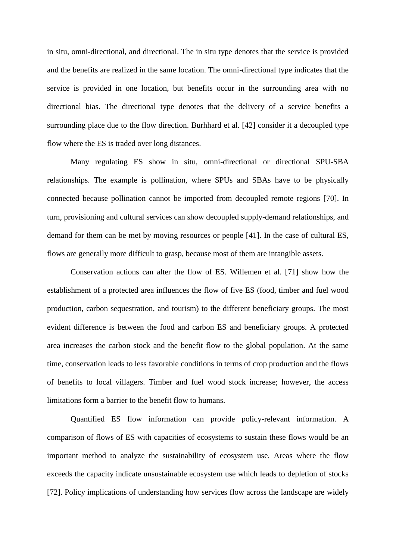in situ, omni-directional, and directional. The in situ type denotes that the service is provided and the benefits are realized in the same location. The omni-directional type indicates that the service is provided in one location, but benefits occur in the surrounding area with no directional bias. The directional type denotes that the delivery of a service benefits a surrounding place due to the flow direction. Burhhard et al. [42] consider it a decoupled type flow where the ES is traded over long distances.

Many regulating ES show in situ, omni-directional or directional SPU-SBA relationships. The example is pollination, where SPUs and SBAs have to be physically connected because pollination cannot be imported from decoupled remote regions [70]. In turn, provisioning and cultural services can show decoupled supply-demand relationships, and demand for them can be met by moving resources or people [41]. In the case of cultural ES, flows are generally more difficult to grasp, because most of them are intangible assets.

Conservation actions can alter the flow of ES. Willemen et al. [71] show how the establishment of a protected area influences the flow of five ES (food, timber and fuel wood production, carbon sequestration, and tourism) to the different beneficiary groups. The most evident difference is between the food and carbon ES and beneficiary groups. A protected area increases the carbon stock and the benefit flow to the global population. At the same time, conservation leads to less favorable conditions in terms of crop production and the flows of benefits to local villagers. Timber and fuel wood stock increase; however, the access limitations form a barrier to the benefit flow to humans.

Quantified ES flow information can provide policy-relevant information. A comparison of flows of ES with capacities of ecosystems to sustain these flows would be an important method to analyze the sustainability of ecosystem use. Areas where the flow exceeds the capacity indicate unsustainable ecosystem use which leads to depletion of stocks [72]. Policy implications of understanding how services flow across the landscape are widely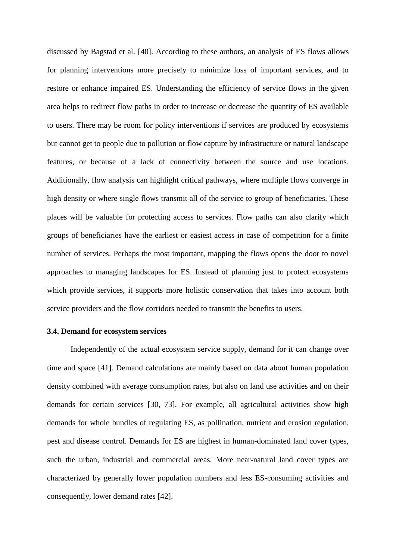discussed by Bagstad et al. [40]. According to these authors, an analysis of ES flows allows for planning interventions more precisely to minimize loss of important services, and to restore or enhance impaired ES. Understanding the efficiency of service flows in the given area helps to redirect flow paths in order to increase or decrease the quantity of ES available to users. There may be room for policy interventions if services are produced by ecosystems but cannot get to people due to pollution or flow capture by infrastructure or natural landscape features, or because of a lack of connectivity between the source and use locations. Additionally, flow analysis can highlight critical pathways, where multiple flows converge in high density or where single flows transmit all of the service to group of beneficiaries. These places will be valuable for protecting access to services. Flow paths can also clarify which groups of beneficiaries have the earliest or easiest access in case of competition for a finite number of services. Perhaps the most important, mapping the flows opens the door to novel approaches to managing landscapes for ES. Instead of planning just to protect ecosystems which provide services, it supports more holistic conservation that takes into account both service providers and the flow corridors needed to transmit the benefits to users.

## **3.4. Demand for ecosystem services**

Independently of the actual ecosystem service supply, demand for it can change over time and space [41]. Demand calculations are mainly based on data about human population density combined with average consumption rates, but also on land use activities and on their demands for certain services [30, 73]. For example, all agricultural activities show high demands for whole bundles of regulating ES, as pollination, nutrient and erosion regulation, pest and disease control. Demands for ES are highest in human-dominated land cover types, such the urban, industrial and commercial areas. More near-natural land cover types are characterized by generally lower population numbers and less ES-consuming activities and consequently, lower demand rates [42].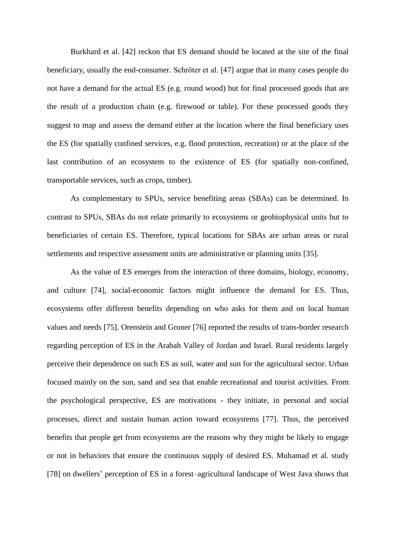Burkhard et al. [42] reckon that ES demand should be located at the site of the final beneficiary, usually the end-consumer. Schröter et al. [47] argue that in many cases people do not have a demand for the actual ES (e.g. round wood) but for final processed goods that are the result of a production chain (e.g. firewood or table). For these processed goods they suggest to map and assess the demand either at the location where the final beneficiary uses the ES (for spatially confined services, e.g. flood protection, recreation) or at the place of the last contribution of an ecosystem to the existence of ES (for spatially non-confined, transportable services, such as crops, timber).

As complementary to SPUs, service benefiting areas (SBAs) can be determined. In contrast to SPUs, SBAs do not relate primarily to ecosystems or geobiophysical units but to beneficiaries of certain ES. Therefore, typical locations for SBAs are urban areas or rural settlements and respective assessment units are administrative or planning units [35].

As the value of ES emerges from the interaction of three domains, biology, economy, and culture [74], social-economic factors might influence the demand for ES. Thus, ecosystems offer different benefits depending on who asks for them and on local human values and needs [75]*.* Orenstein and Groner [76] reported the results of trans-border research regarding perception of ES in the Arabah Valley of Jordan and Israel. Rural residents largely perceive their dependence on such ES as soil, water and sun for the agricultural sector. Urban focused mainly on the sun, sand and sea that enable recreational and tourist activities*.* From the psychological perspective, ES are motivations - they initiate, in personal and social processes, direct and sustain human action toward ecosystems [77]. Thus, the perceived benefits that people get from ecosystems are the reasons why they might be likely to engage or not in behaviors that ensure the continuous supply of desired ES. Muhamad et al. study [78] on dwellers' perception of ES in a forest–agricultural landscape of West Java shows that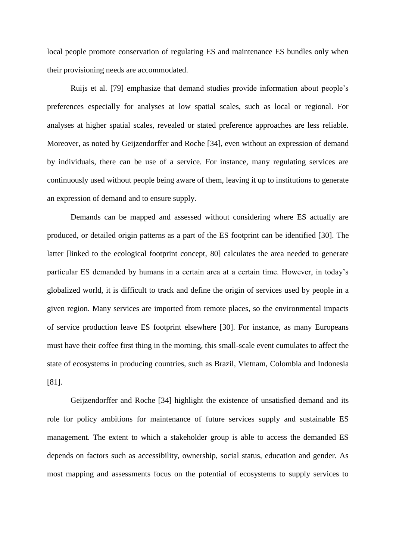local people promote conservation of regulating ES and maintenance ES bundles only when their provisioning needs are accommodated.

Ruijs et al. [79] emphasize that demand studies provide information about people's preferences especially for analyses at low spatial scales, such as local or regional. For analyses at higher spatial scales, revealed or stated preference approaches are less reliable. Moreover, as noted by Geijzendorffer and Roche [34], even without an expression of demand by individuals, there can be use of a service. For instance, many regulating services are continuously used without people being aware of them, leaving it up to institutions to generate an expression of demand and to ensure supply.

Demands can be mapped and assessed without considering where ES actually are produced, or detailed origin patterns as a part of the ES footprint can be identified [30]. The latter [linked to the ecological footprint concept, 80] calculates the area needed to generate particular ES demanded by humans in a certain area at a certain time. However, in today's globalized world, it is difficult to track and define the origin of services used by people in a given region. Many services are imported from remote places, so the environmental impacts of service production leave ES footprint elsewhere [30]. For instance, as many Europeans must have their coffee first thing in the morning, this small-scale event cumulates to affect the state of ecosystems in producing countries, such as Brazil, Vietnam, Colombia and Indonesia [81].

Geijzendorffer and Roche [34] highlight the existence of unsatisfied demand and its role for policy ambitions for maintenance of future services supply and sustainable ES management. The extent to which a stakeholder group is able to access the demanded ES depends on factors such as accessibility, ownership, social status, education and gender. As most mapping and assessments focus on the potential of ecosystems to supply services to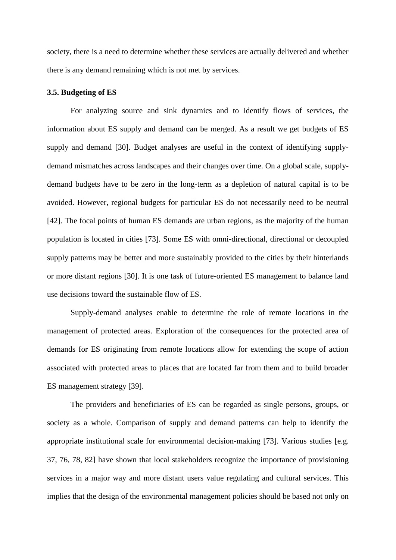society, there is a need to determine whether these services are actually delivered and whether there is any demand remaining which is not met by services.

## **3.5. Budgeting of ES**

For analyzing source and sink dynamics and to identify flows of services, the information about ES supply and demand can be merged. As a result we get budgets of ES supply and demand [30]. Budget analyses are useful in the context of identifying supplydemand mismatches across landscapes and their changes over time. On a global scale, supplydemand budgets have to be zero in the long-term as a depletion of natural capital is to be avoided. However, regional budgets for particular ES do not necessarily need to be neutral [42]. The focal points of human ES demands are urban regions, as the majority of the human population is located in cities [73]. Some ES with omni-directional, directional or decoupled supply patterns may be better and more sustainably provided to the cities by their hinterlands or more distant regions [30]. It is one task of future-oriented ES management to balance land use decisions toward the sustainable flow of ES.

Supply-demand analyses enable to determine the role of remote locations in the management of protected areas. Exploration of the consequences for the protected area of demands for ES originating from remote locations allow for extending the scope of action associated with protected areas to places that are located far from them and to build broader ES management strategy [39].

The providers and beneficiaries of ES can be regarded as single persons, groups, or society as a whole. Comparison of supply and demand patterns can help to identify the appropriate institutional scale for environmental decision-making [73]. Various studies [e.g. 37, 76, 78, 82] have shown that local stakeholders recognize the importance of provisioning services in a major way and more distant users value regulating and cultural services. This implies that the design of the environmental management policies should be based not only on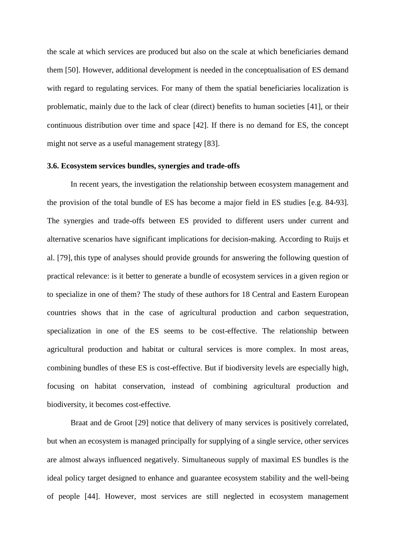the scale at which services are produced but also on the scale at which beneficiaries demand them [50]. However, additional development is needed in the conceptualisation of ES demand with regard to regulating services. For many of them the spatial beneficiaries localization is problematic, mainly due to the lack of clear (direct) benefits to human societies [41], or their continuous distribution over time and space [42]. If there is no demand for ES, the concept might not serve as a useful management strategy [83].

#### **3.6. Ecosystem services bundles, synergies and trade-offs**

In recent years, the investigation the relationship between ecosystem management and the provision of the total bundle of ES has become a major field in ES studies [e.g. 84-93]*.* The synergies and trade-offs between ES provided to different users under current and alternative scenarios have significant implications for decision-making. According to Ruijs et al. [79], this type of analyses should provide grounds for answering the following question of practical relevance: is it better to generate a bundle of ecosystem services in a given region or to specialize in one of them? The study of these authors for 18 Central and Eastern European countries shows that in the case of agricultural production and carbon sequestration, specialization in one of the ES seems to be cost-effective. The relationship between agricultural production and habitat or cultural services is more complex. In most areas, combining bundles of these ES is cost-effective. But if biodiversity levels are especially high, focusing on habitat conservation, instead of combining agricultural production and biodiversity, it becomes cost-effective.

Braat and de Groot [29] notice that delivery of many services is positively correlated, but when an ecosystem is managed principally for supplying of a single service, other services are almost always influenced negatively. Simultaneous supply of maximal ES bundles is the ideal policy target designed to enhance and guarantee ecosystem stability and the well-being of people [44]. However, most services are still neglected in ecosystem management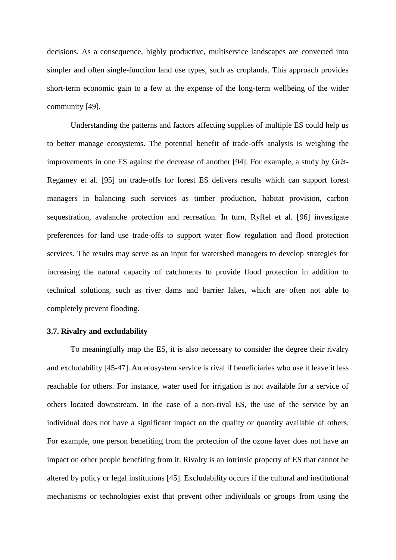decisions. As a consequence, highly productive, multiservice landscapes are converted into simpler and often single-function land use types, such as croplands. This approach provides short-term economic gain to a few at the expense of the long-term wellbeing of the wider community [49].

Understanding the patterns and factors affecting supplies of multiple ES could help us to better manage ecosystems. The potential benefit of trade-offs analysis is weighing the improvements in one ES against the decrease of another [94]. For example, a study by Grêt-Regamey et al. [95] on trade-offs for forest ES delivers results which can support forest managers in balancing such services as timber production, habitat provision, carbon sequestration, avalanche protection and recreation. In turn, Ryffel et al. [96] investigate preferences for land use trade-offs to support water flow regulation and flood protection services. The results may serve as an input for watershed managers to develop strategies for increasing the natural capacity of catchments to provide flood protection in addition to technical solutions, such as river dams and barrier lakes, which are often not able to completely prevent flooding.

# **3.7. Rivalry and excludability**

To meaningfully map the ES, it is also necessary to consider the degree their rivalry and excludability [45-47]. An ecosystem service is rival if beneficiaries who use it leave it less reachable for others. For instance, water used for irrigation is not available for a service of others located downstream. In the case of a non-rival ES, the use of the service by an individual does not have a significant impact on the quality or quantity available of others. For example, one person benefiting from the protection of the ozone layer does not have an impact on other people benefiting from it. Rivalry is an intrinsic property of ES that cannot be altered by policy or legal institutions [45]. Excludability occurs if the cultural and institutional mechanisms or technologies exist that prevent other individuals or groups from using the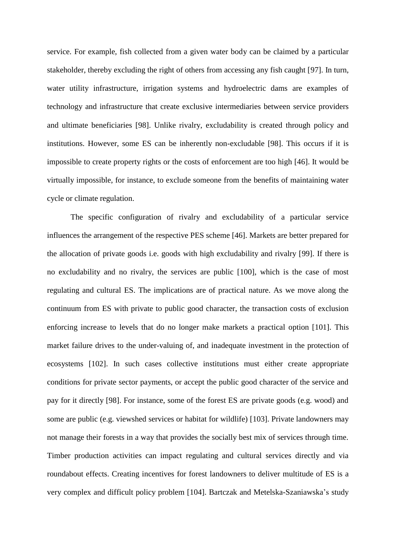service. For example, fish collected from a given water body can be claimed by a particular stakeholder, thereby excluding the right of others from accessing any fish caught [97]. In turn, water utility infrastructure, irrigation systems and hydroelectric dams are examples of technology and infrastructure that create exclusive intermediaries between service providers and ultimate beneficiaries [98]. Unlike rivalry, excludability is created through policy and institutions. However, some ES can be inherently non-excludable [98]. This occurs if it is impossible to create property rights or the costs of enforcement are too high [46]. It would be virtually impossible, for instance, to exclude someone from the benefits of maintaining water cycle or climate regulation.

The specific configuration of rivalry and excludability of a particular service influences the arrangement of the respective PES scheme [46]. Markets are better prepared for the allocation of private goods i.e. goods with high excludability and rivalry [99]. If there is no excludability and no rivalry, the services are public [100], which is the case of most regulating and cultural ES. The implications are of practical nature. As we move along the continuum from ES with private to public good character, the transaction costs of exclusion enforcing increase to levels that do no longer make markets a practical option [101]. This market failure drives to the under-valuing of, and inadequate investment in the protection of ecosystems [102]. In such cases collective institutions must either create appropriate conditions for private sector payments, or accept the public good character of the service and pay for it directly [98]. For instance, some of the forest ES are private goods (e.g. wood) and some are public (e.g. viewshed services or habitat for wildlife) [103]. Private landowners may not manage their forests in a way that provides the socially best mix of services through time. Timber production activities can impact regulating and cultural services directly and via roundabout effects. Creating incentives for forest landowners to deliver multitude of ES is a very complex and difficult policy problem [104]. Bartczak and Metelska-Szaniawska's study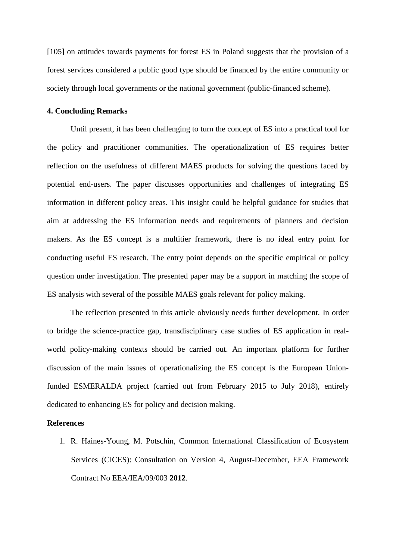[105] on attitudes towards payments for forest ES in Poland suggests that the provision of a forest services considered a public good type should be financed by the entire community or society through local governments or the national government (public-financed scheme).

## **4. Concluding Remarks**

Until present, it has been challenging to turn the concept of ES into a practical tool for the policy and practitioner communities. The operationalization of ES requires better reflection on the usefulness of different MAES products for solving the questions faced by potential end-users. The paper discusses opportunities and challenges of integrating ES information in different policy areas. This insight could be helpful guidance for studies that aim at addressing the ES information needs and requirements of planners and decision makers. As the ES concept is a multitier framework, there is no ideal entry point for conducting useful ES research. The entry point depends on the specific empirical or policy question under investigation. The presented paper may be a support in matching the scope of ES analysis with several of the possible MAES goals relevant for policy making.

The reflection presented in this article obviously needs further development. In order to bridge the science-practice gap, transdisciplinary case studies of ES application in realworld policy-making contexts should be carried out. An important platform for further discussion of the main issues of operationalizing the ES concept is the European Unionfunded ESMERALDA project (carried out from February 2015 to July 2018), entirely dedicated to enhancing ES for policy and decision making.

#### **References**

1. R. Haines-Young, M. Potschin, Common International Classification of Ecosystem Services (CICES): Consultation on Version 4, August-December, EEA Framework Contract No EEA/IEA/09/003 **2012**.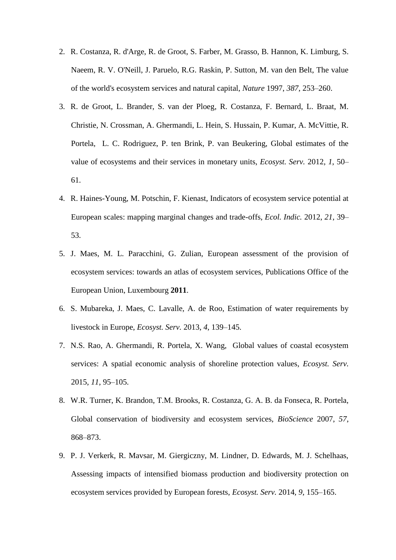- 2. R. Costanza, R. d'Arge, R. de Groot, S. Farber, M. Grasso, B. Hannon, K. Limburg, S. Naeem, R. V. O'Neill, J. Paruelo, R.G. Raskin, P. Sutton, M. van den Belt, The value of the world's ecosystem services and natural capital, *Nature* 1997, *387*, 253–260.
- 3. R. de Groot, L. Brander, S. van der Ploeg, R. Costanza, F. Bernard, L. Braat, M. Christie, N. Crossman, A. Ghermandi, L. Hein, S. Hussain, P. Kumar, A. McVittie, R. Portela, L. C. Rodriguez, P. ten Brink, P. van Beukering, Global estimates of the value of ecosystems and their services in monetary units, *Ecosyst. Serv.* 2012, *1*, 50– 61.
- 4. R. Haines-Young, M. Potschin, F. Kienast, Indicators of ecosystem service potential at European scales: mapping marginal changes and trade-offs, *Ecol. Indic.* 2012, *21*, 39– 53.
- 5. J. Maes, M. L. Paracchini, G. Zulian, European assessment of the provision of ecosystem services: towards an atlas of ecosystem services, Publications Office of the European Union, Luxembourg **2011**.
- 6. S. Mubareka, J. Maes, C. Lavalle, A. de Roo, Estimation of water requirements by livestock in Europe, *Ecosyst. Serv.* 2013, *4*, 139–145.
- 7. N.S. Rao, A. Ghermandi, R. Portela, X. Wang, Global values of coastal ecosystem services: A spatial economic analysis of shoreline protection values, *Ecosyst. Serv.*  2015, *11*, 95–105.
- 8. W.R. Turner, K. Brandon, T.M. Brooks, R. Costanza, G. A. B. da Fonseca, R. Portela, Global conservation of biodiversity and ecosystem services, *BioScience* 2007, *57*, 868–873.
- 9. P. J. Verkerk, R. Mavsar, M. Giergiczny, M. Lindner, D. Edwards, M. J. Schelhaas, Assessing impacts of intensified biomass production and biodiversity protection on ecosystem services provided by European forests, *Ecosyst. Serv.* 2014, *9*, 155–165.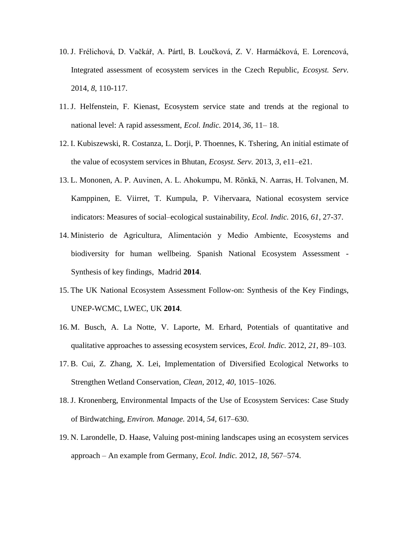- 10. J. Frélichová, D. Vačkář, A. Pártl, B. Loučková, Z. V. Harmáčková, E. Lorencová, Integrated assessment of ecosystem services in the Czech Republic, *Ecosyst. Serv.* 2014, *8*, 110-117.
- 11. J. Helfenstein, F. Kienast, Ecosystem service state and trends at the regional to national level: A rapid assessment, *Ecol. Indic.* 2014, *36*, 11– 18.
- 12. I. Kubiszewski, R. Costanza, L. Dorji, P. Thoennes, K. Tshering, An initial estimate of the value of ecosystem services in Bhutan, *Ecosyst. Serv.* 2013, *3*, e11–e21.
- 13. L. Mononen, A. P. Auvinen, A. L. Ahokumpu, M. Rönkä, N. Aarras, H. Tolvanen, M. Kamppinen, E. Viirret, T. Kumpula, P. Vihervaara, National ecosystem service indicators: Measures of social–ecological sustainability, *Ecol. Indic.* 2016, *61*, 27-37.
- 14. Ministerio de Agricultura, Alimentación y Medio Ambiente, Ecosystems and biodiversity for human wellbeing. Spanish National Ecosystem Assessment - Synthesis of key findings, Madrid **2014**.
- 15. The UK National Ecosystem Assessment Follow-on: Synthesis of the Key Findings, UNEP-WCMC, LWEC, UK **2014**.
- 16. M. Busch, A. La Notte, V. Laporte, M. Erhard, Potentials of quantitative and qualitative approaches to assessing ecosystem services, *Ecol. Indic.* 2012, *21*, 89–103.
- 17. B. Cui, Z. Zhang, X. Lei, Implementation of Diversified Ecological Networks to Strengthen Wetland Conservation, *Clean*, 2012, *40*, 1015–1026.
- 18. J. Kronenberg, Environmental Impacts of the Use of Ecosystem Services: Case Study of Birdwatching, *Environ. Manage.* 2014, *54*, 617–630.
- 19. N. Larondelle, D. Haase, Valuing post-mining landscapes using an ecosystem services approach – An example from Germany, *Ecol. Indic.* 2012, *18*, 567–574.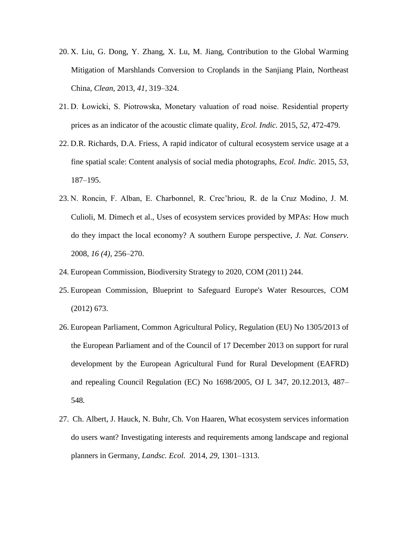- 20. X. Liu, G. Dong, Y. Zhang, X. Lu, M. Jiang, Contribution to the Global Warming Mitigation of Marshlands Conversion to Croplands in the Sanjiang Plain, Northeast China, *Clean*, 2013, *41*, 319–324.
- 21. D. Łowicki, S. Piotrowska, Monetary valuation of road noise. Residential property prices as an indicator of the acoustic climate quality, *Ecol. Indic.* 2015, *52*, 472-479.
- 22. D.R. Richards, D.A. Friess, A rapid indicator of cultural ecosystem service usage at a fine spatial scale: Content analysis of social media photographs, *Ecol. Indic.* 2015, *53*, 187–195.
- 23. N. Roncin, F. Alban, E. Charbonnel, R. Crec'hriou, R. de la Cruz Modino, J. M. Culioli, M. Dimech et al., Uses of ecosystem services provided by MPAs: How much do they impact the local economy? A southern Europe perspective, *J. Nat. Conserv.* 2008, *16 (4)*, 256–270.
- 24. European Commission, Biodiversity Strategy to 2020, COM (2011) 244.
- 25. European Commission, Blueprint to Safeguard Europe's Water Resources, COM (2012) 673.
- 26. European Parliament, Common Agricultural Policy, Regulation (EU) No 1305/2013 of the European Parliament and of the Council of 17 December 2013 on support for rural development by the European Agricultural Fund for Rural Development (EAFRD) and repealing Council Regulation (EC) No 1698/2005, OJ L 347, 20.12.2013, 487– 548*.*
- 27. Ch. Albert, J. Hauck, N. Buhr, Ch. Von Haaren, What ecosystem services information do users want? Investigating interests and requirements among landscape and regional planners in Germany, *Landsc. Ecol.* 2014, *29,* 1301–1313.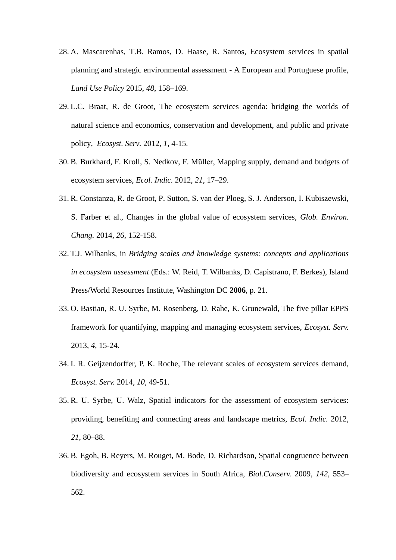- 28. A. Mascarenhas, T.B. Ramos, D. Haase, R. Santos, Ecosystem services in spatial planning and strategic environmental assessment - A European and Portuguese profile, *Land Use Policy* 2015, *48*, 158–169.
- 29. L.C. Braat, R. de Groot, The ecosystem services agenda: bridging the worlds of natural science and economics, conservation and development, and public and private policy, *Ecosyst. Serv.* 2012, *1*, 4-15.
- 30. B. Burkhard, F. Kroll, S. Nedkov, F. Müller, Mapping supply, demand and budgets of ecosystem services, *Ecol. Indic.* 2012, *21*, 17–29.
- 31. R. Constanza, R. de Groot, P. Sutton, S. van der Ploeg, S. J. Anderson, I. Kubiszewski, S. Farber et al., Changes in the global value of ecosystem services, *Glob. Environ. Chang.* 2014, *26*, 152-158.
- 32. T.J. Wilbanks, in *Bridging scales and knowledge systems: concepts and applications in ecosystem assessment* (Eds.: W. Reid, T. Wilbanks, D. Capistrano, F. Berkes), Island Press/World Resources Institute, Washington DC **2006**, p. 21.
- 33. O. Bastian, R. U. Syrbe, M. Rosenberg, D. Rahe, K. Grunewald, The five pillar EPPS framework for quantifying, mapping and managing ecosystem services, *Ecosyst. Serv.*  2013, *4*, 15-24.
- 34. I. R. Geijzendorffer, P. K. Roche, The relevant scales of ecosystem services demand, *Ecosyst. Serv.* 2014, *10,* 49-51.
- 35. R. U. Syrbe, U. Walz, Spatial indicators for the assessment of ecosystem services: providing, benefiting and connecting areas and landscape metrics, *Ecol. Indic.* 2012, *21,* 80–88.
- 36. B. Egoh, B. Reyers, M. Rouget, M. Bode, D. Richardson, Spatial congruence between biodiversity and ecosystem services in South Africa, *Biol.Conserv.* 2009, *142,* 553– 562.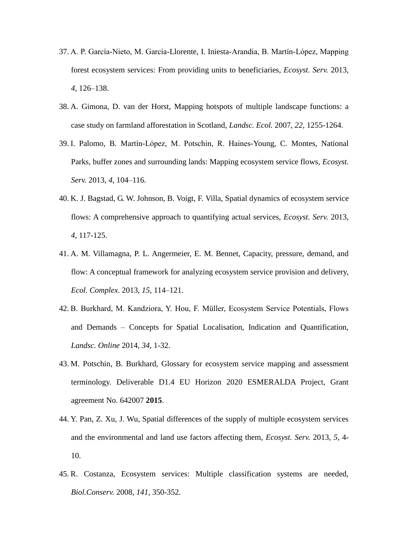- 37. A. P. García-Nieto, M. García-Llorente, I. Iniesta-Arandia, B. Martín-López, Mapping forest ecosystem services: From providing units to beneficiaries, *Ecosyst. Serv.* 2013, *4*, 126–138.
- 38. A. Gimona, D. van der Horst, Mapping hotspots of multiple landscape functions: a case study on farmland afforestation in Scotland, *Landsc. Ecol.* 2007, *22,* 1255-1264.
- 39. I. Palomo, B. Martín-López, M. Potschin, R. Haines-Young, C. Montes, National Parks, buffer zones and surrounding lands: Mapping ecosystem service flows, *Ecosyst. Serv.* 2013, *4*, 104–116.
- 40. K. J. Bagstad, G. W. Johnson, B. Voigt, F. Villa, Spatial dynamics of ecosystem service flows: A comprehensive approach to quantifying actual services, *Ecosyst. Serv.* 2013, *4*, 117-125.
- 41. A. M. Villamagna, P. L. Angermeier, E. M. Bennet, Capacity, pressure, demand, and flow: A conceptual framework for analyzing ecosystem service provision and delivery, *Ecol. Complex.* 2013, *15*, 114–121.
- 42. B. Burkhard, M. Kandziora, Y. Hou, F. Müller, Ecosystem Service Potentials, Flows and Demands – Concepts for Spatial Localisation, Indication and Quantification, *Landsc. Online* 2014, *34*, 1-32.
- 43. M. Potschin, B. Burkhard, Glossary for ecosystem service mapping and assessment terminology. Deliverable D1.4 EU Horizon 2020 ESMERALDA Project, Grant agreement No. 642007 **2015**.
- 44. Y. Pan, Z. Xu, J. Wu, Spatial differences of the supply of multiple ecosystem services and the environmental and land use factors affecting them, *Ecosyst. Serv.* 2013, *5*, 4- 10.
- 45. R. Costanza, Ecosystem services: Multiple classification systems are needed, *Biol.Conserv.* 2008, *141*, 350-352.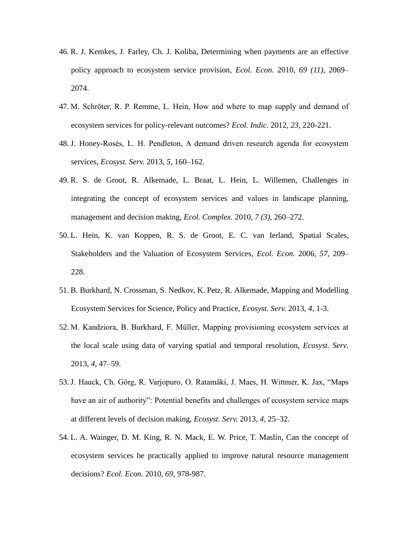- 46. R. J. Kemkes, J. Farley, Ch. J. Koliba, Determining when payments are an effective policy approach to ecosystem service provision, *Ecol. Econ.* 2010, *69 (11)*, 2069– 2074.
- 47. M. Schröter, R. P. Remme, L. Hein, How and where to map supply and demand of ecosystem services for policy-relevant outcomes? *Ecol. Indic.* 2012, *23*, 220-221.
- 48. J. Honey-Rosés, L. H. Pendleton, A demand driven research agenda for ecosystem services, *Ecosyst. Serv.* 2013, *5*, 160–162.
- 49. R. S. de Groot, R. Alkemade, L. Braat, L. Hein, L. Willemen, Challenges in integrating the concept of ecosystem services and values in landscape planning, management and decision making, *Ecol. Complex.* 2010, *7 (3)*, 260–272.
- 50. L. Hein, K. van Koppen, R. S. de Groot, E. C. van Ierland, Spatial Scales, Stakeholders and the Valuation of Ecosystem Services, *Ecol. Econ.* 2006, *57*, 209– 228.
- 51. B. Burkhard, N. Crossman, S. Nedkov, K. Petz, R. Alkemade, Mapping and Modelling Ecosystem Services for Science, Policy and Practice, *Ecosyst. Serv.* 2013, *4,* 1-3.
- 52. M. Kandziora, B. Burkhard, F. Müller, Mapping provisioning ecosystem services at the local scale using data of varying spatial and temporal resolution, *Ecosyst. Serv.*  2013, *4*, 47–59.
- 53. J. Hauck, Ch. Görg, R. Varjopuro, O. Ratamäki, J. Maes, H. Wittmer, K. Jax, "Maps have an air of authority": Potential benefits and challenges of ecosystem service maps at different levels of decision making, *Ecosyst. Serv.* 2013, *4*, 25–32.
- 54. L. A. Wainger, D. M. King, R. N. Mack, E. W. Price, T. Maslin, Can the concept of ecosystem services be practically applied to improve natural resource management decisions? *Ecol. Econ.* 2010, *69*, 978-987.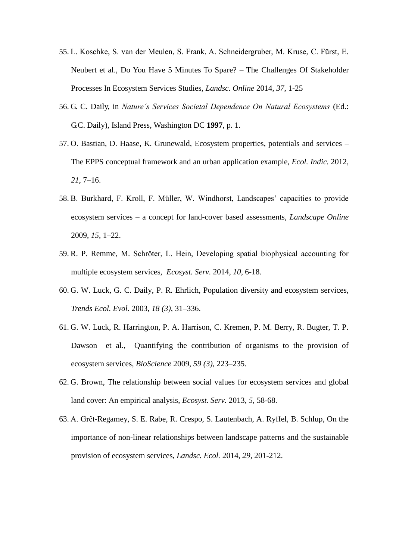- 55. L. Koschke, S. van der Meulen, S. Frank, A. Schneidergruber, M. Kruse, C. Fürst, E. Neubert et al., Do You Have 5 Minutes To Spare? – The Challenges Of Stakeholder Processes In Ecosystem Services Studies, *Landsc. Online* 2014, *37*, 1-25
- 56. G. C. Daily, in *Nature's Services Societal Dependence On Natural Ecosystems* (Ed.: G.C. Daily), Island Press, Washington DC **1997**, p. 1.
- 57. O. Bastian, D. Haase, K. Grunewald, Ecosystem properties, potentials and services The EPPS conceptual framework and an urban application example, *Ecol. Indic.* 2012, *21*, 7–16.
- 58. B. Burkhard, F. Kroll, F. Müller, W. Windhorst, Landscapes' capacities to provide ecosystem services – a concept for land-cover based assessments, *Landscape Online* 2009, *15*, 1–22.
- 59. R. P. Remme, M. Schröter, L. Hein, Developing spatial biophysical accounting for multiple ecosystem services, *Ecosyst. Serv.* 2014, *10*, 6-18.
- 60. G. W. Luck, G. C. Daily, P. R. Ehrlich, Population diversity and ecosystem services, *Trends Ecol. Evol.* 2003, *18 (3)*, 31–336.
- 61. G. W. Luck, R. Harrington, P. A. Harrison, C. Kremen, P. M. Berry, R. Bugter, T. P. Dawson et al., Quantifying the contribution of organisms to the provision of ecosystem services, *BioScience* 2009, *59 (3)*, 223–235.
- 62. G. Brown, The relationship between social values for ecosystem services and global land cover: An empirical analysis, *Ecosyst. Serv.* 2013, *5*, 58-68.
- 63. A. Grêt-Regamey, S. E. Rabe, R. Crespo, S. Lautenbach, A. Ryffel, B. Schlup, On the importance of non-linear relationships between landscape patterns and the sustainable provision of ecosystem services, *Landsc. Ecol.* 2014, *29*, 201-212.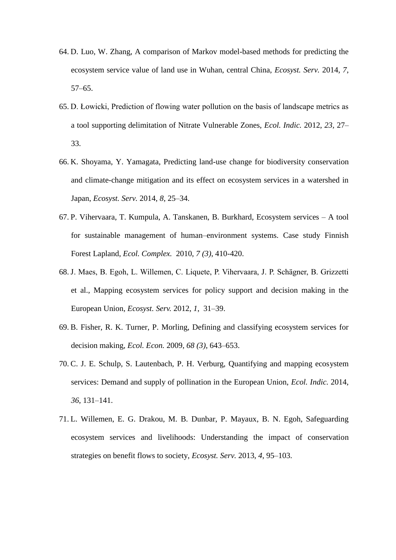- 64. D. Luo, W. Zhang, A comparison of Markov model-based methods for predicting the ecosystem service value of land use in Wuhan, central China, *Ecosyst. Serv.* 2014, *7*, 57–65.
- 65. D. Łowicki, Prediction of flowing water pollution on the basis of landscape metrics as a tool supporting delimitation of Nitrate Vulnerable Zones, *Ecol. Indic.* 2012, *23,* 27– 33.
- 66. K. Shoyama, Y. Yamagata, Predicting land-use change for biodiversity conservation and climate-change mitigation and its effect on ecosystem services in a watershed in Japan, *Ecosyst. Serv.* 2014, *8*, 25–34.
- 67. P. Vihervaara, T. Kumpula, A. Tanskanen, B. Burkhard, Ecosystem services A tool for sustainable management of human–environment systems. Case study Finnish Forest Lapland, *Ecol. Complex.* 2010, *7 (3)*, 410-420.
- 68. J. Maes, B. Egoh, L. Willemen, C. Liquete, P. Vihervaara, J. P. Schägner, B. Grizzetti et al., Mapping ecosystem services for policy support and decision making in the European Union, *Ecosyst. Serv.* 2012, *1*, 31–39.
- 69. B. Fisher, R. K. Turner, P. Morling, Defining and classifying ecosystem services for decision making, *Ecol. Econ.* 2009, *68 (3)*, 643–653.
- 70. C. J. E. Schulp, S. Lautenbach, P. H. Verburg, Quantifying and mapping ecosystem services: Demand and supply of pollination in the European Union, *Ecol. Indic.* 2014, *36*, 131–141.
- 71. L. Willemen, E. G. Drakou, M. B. Dunbar, P. Mayaux, B. N. Egoh, Safeguarding ecosystem services and livelihoods: Understanding the impact of conservation strategies on benefit flows to society, *Ecosyst. Serv.* 2013, *4*, 95–103.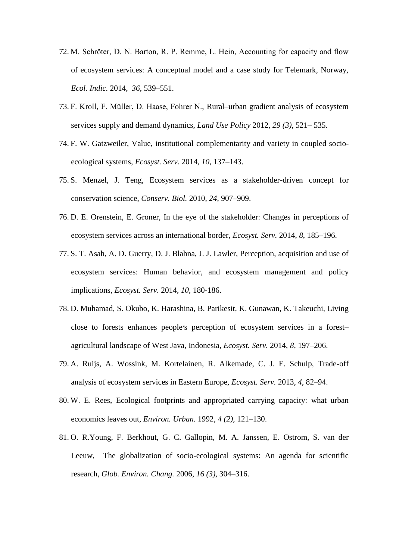- 72. M. Schröter, D. N. Barton, R. P. Remme, L. Hein, Accounting for capacity and flow of ecosystem services: A conceptual model and a case study for Telemark, Norway, *Ecol. Indic.* 2014, *36*, 539–551.
- 73. F. Kroll, F. Müller, D. Haase, Fohrer N., Rural–urban gradient analysis of ecosystem services supply and demand dynamics, *Land Use Policy* 2012, *29 (3)*, 521– 535.
- 74. F. W. Gatzweiler, Value, institutional complementarity and variety in coupled socioecological systems, *Ecosyst. Serv.* 2014, *10*, 137–143.
- 75. S. Menzel, J. Teng, Ecosystem services as a stakeholder-driven concept for conservation science, *Conserv. Biol.* 2010, *24*, 907–909.
- 76. D. E. Orenstein, E. Groner, In the eye of the stakeholder: Changes in perceptions of ecosystem services across an international border, *Ecosyst. Serv.* 2014, *8*, 185–196.
- 77. S. T. Asah, A. D. Guerry, D. J. Blahna, J. J. Lawler, Perception, acquisition and use of ecosystem services: Human behavior, and ecosystem management and policy implications, *Ecosyst. Serv.* 2014, *10*, 180-186.
- 78. D. Muhamad, S. Okubo, K. Harashina, B. Parikesit, K. Gunawan, K. Takeuchi, Living close to forests enhances people*׳*s perception of ecosystem services in a forest– agricultural landscape of West Java, Indonesia, *Ecosyst. Serv.* 2014, *8*, 197–206.
- 79. A. Ruijs, A. Wossink, M. Kortelainen, R. Alkemade, C. J. E. Schulp, Trade-off analysis of ecosystem services in Eastern Europe, *Ecosyst. Serv.* 2013, *4*, 82–94.
- 80. W. E. Rees, Ecological footprints and appropriated carrying capacity: what urban economics leaves out, *Environ. Urban.* 1992, *4 (2)*, 121–130.
- 81. O. R.Young, F. Berkhout, G. C. Gallopin, M. A. Janssen, E. Ostrom, S. van der Leeuw, The globalization of socio-ecological systems: An agenda for scientific research, *Glob. Environ. Chang.* 2006, *16 (3)*, 304–316.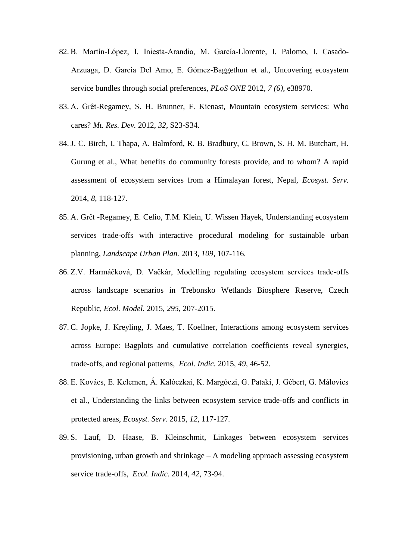- 82. B. Martín-López, I. Iniesta-Arandia, M. García-Llorente, I. Palomo, I. Casado-Arzuaga, D. García Del Amo, E. Gómez-Baggethun et al., Uncovering ecosystem service bundles through social preferences, *PLoS ONE* 2012, *7 (6)*, e38970.
- 83. A. Grêt-Regamey, S. H. Brunner, F. Kienast, Mountain ecosystem services: Who cares? *Mt. Res. Dev.* 2012, *32*, S23-S34.
- 84. J. C. Birch, I. Thapa, A. Balmford, R. B. Bradbury, C. Brown, S. H. M. Butchart, H. Gurung et al., What benefits do community forests provide, and to whom? A rapid assessment of ecosystem services from a Himalayan forest, Nepal, *Ecosyst. Serv.*  2014, *8*, 118-127.
- 85. A. Grêt -Regamey, E. Celio, T.M. Klein, U. Wissen Hayek, Understanding ecosystem services trade-offs with interactive procedural modeling for sustainable urban planning, *Landscape Urban Plan.* 2013, *109,* 107-116.
- 86. Z.V. Harmáĉková, D. Vaĉkár, Modelling regulating ecosystem services trade-offs across landscape scenarios in Trebonsko Wetlands Biosphere Reserve, Czech Republic, *Ecol. Model.* 2015, *295*, 207-2015.
- 87. C. Jopke, J. Kreyling, J. Maes, T. Koellner, Interactions among ecosystem services across Europe: Bagplots and cumulative correlation coefficients reveal synergies, trade-offs, and regional patterns, *Ecol. Indic.* 2015, *49*, 46-52.
- 88. E. Kovács, E. Kelemen, Á. Kalóczkai, K. Margóczi, G. Pataki, J. Gébert, G. Málovics et al., Understanding the links between ecosystem service trade-offs and conflicts in protected areas, *Ecosyst. Serv.* 2015, *12*, 117-127.
- 89. S. Lauf, D. Haase, B. Kleinschmit, Linkages between ecosystem services provisioning, urban growth and shrinkage – A modeling approach assessing ecosystem service trade-offs, *Ecol. Indic.* 2014, *42*, 73-94.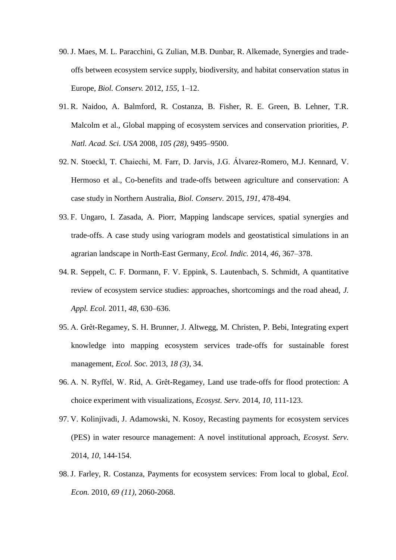- 90. J. Maes, M. L. Paracchini, G. Zulian, M.B. Dunbar, R. Alkemade, Synergies and tradeoffs between ecosystem service supply, biodiversity, and habitat conservation status in Europe, *Biol. Conserv.* 2012, *155*, 1–12.
- 91. R. Naidoo, A. Balmford, R. Costanza, B. Fisher, R. E. Green, B. Lehner, T.R. Malcolm et al., Global mapping of ecosystem services and conservation priorities, *P. Natl. Acad. Sci. USA* 2008, *105 (28)*, 9495–9500.
- 92. N. Stoeckl, T. Chaiechi, M. Farr, D. Jarvis, J.G. Álvarez-Romero, M.J. Kennard, V. Hermoso et al., Co-benefits and trade-offs between agriculture and conservation: A case study in Northern Australia, *Biol. Conserv.* 2015, *191*, 478-494.
- 93. F. Ungaro, I. Zasada, A. Piorr, Mapping landscape services, spatial synergies and trade-offs. A case study using variogram models and geostatistical simulations in an agrarian landscape in North-East Germany, *Ecol. Indic.* 2014, *46*, 367–378.
- 94. R. Seppelt, C. F. Dormann, F. V. Eppink, S. Lautenbach, S. Schmidt, A quantitative review of ecosystem service studies: approaches, shortcomings and the road ahead, *J. Appl. Ecol.* 2011, *48*, 630–636.
- 95. A. Grêt-Regamey, S. H. Brunner, J. Altwegg, M. Christen, P. Bebi, Integrating expert knowledge into mapping ecosystem services trade-offs for sustainable forest management, *Ecol. Soc.* 2013, *18 (3)*, 34.
- 96. A. N. Ryffel, W. Rid, A. Grêt-Regamey, Land use trade-offs for flood protection: A choice experiment with visualizations, *Ecosyst. Serv.* 2014, *10*, 111-123.
- 97. V. Kolinjivadi, J. Adamowski, N. Kosoy, Recasting payments for ecosystem services (PES) in water resource management: A novel institutional approach, *Ecosyst. Serv.* 2014, *10*, 144-154.
- 98. J. Farley, R. Costanza, Payments for ecosystem services: From local to global, *Ecol. Econ.* 2010, *69 (11)*, 2060-2068.